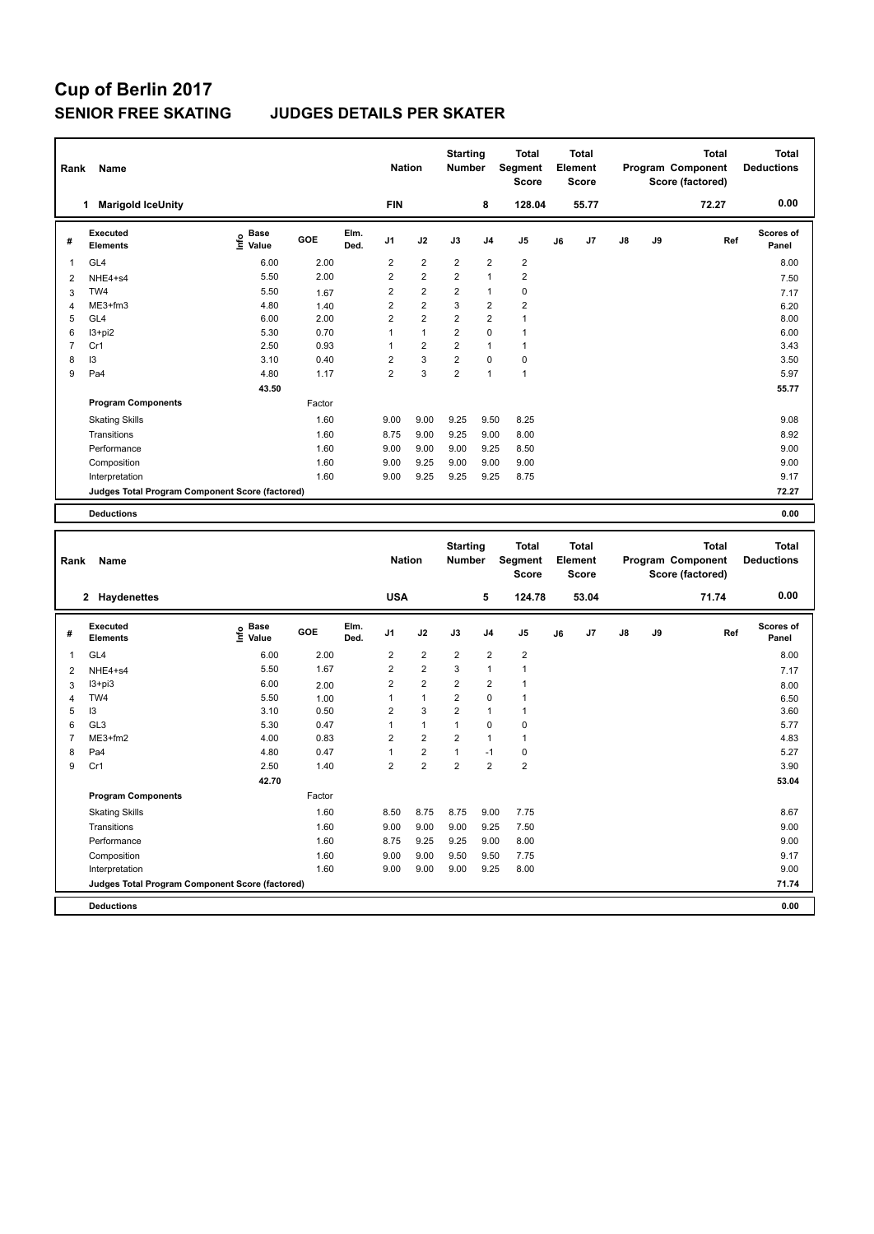### **SENIOR FREE SKATING JUDGES DETAILS PER SKATER**

|                | Rank<br>Name                                    |                                  |        |              |                | <b>Nation</b>           |                         | <b>Starting</b><br><b>Number</b> | <b>Total</b><br>Segment<br><b>Score</b> | <b>Total</b><br>Element<br><b>Score</b><br>55.77 |    |               |    | <b>Total</b><br>Program Component<br>Score (factored) | Total<br><b>Deductions</b> |
|----------------|-------------------------------------------------|----------------------------------|--------|--------------|----------------|-------------------------|-------------------------|----------------------------------|-----------------------------------------|--------------------------------------------------|----|---------------|----|-------------------------------------------------------|----------------------------|
|                | <b>Marigold IceUnity</b><br>1.                  |                                  |        |              | <b>FIN</b>     |                         |                         | 8                                | 128.04                                  |                                                  |    |               |    | 72.27                                                 | 0.00                       |
| #              | Executed<br><b>Elements</b>                     | <b>Base</b><br>e Base<br>⊆ Value | GOE    | Elm.<br>Ded. | J <sub>1</sub> | J2                      | J3                      | J <sub>4</sub>                   | J5                                      | J6                                               | J7 | $\mathsf{J}8$ | J9 | Ref                                                   | <b>Scores of</b><br>Panel  |
| 1              | GL <sub>4</sub>                                 | 6.00                             | 2.00   |              | $\overline{2}$ | $\overline{2}$          | $\overline{2}$          | $\overline{2}$                   | $\overline{2}$                          |                                                  |    |               |    |                                                       | 8.00                       |
| $\overline{2}$ | NHE4+s4                                         | 5.50                             | 2.00   |              | $\overline{2}$ | $\overline{\mathbf{c}}$ | $\overline{\mathbf{c}}$ | $\overline{1}$                   | $\overline{2}$                          |                                                  |    |               |    |                                                       | 7.50                       |
| 3              | TW4                                             | 5.50                             | 1.67   |              | $\overline{2}$ | $\overline{2}$          | $\overline{2}$          | $\mathbf{1}$                     | $\pmb{0}$                               |                                                  |    |               |    |                                                       | 7.17                       |
| 4              | ME3+fm3                                         | 4.80                             | 1.40   |              | $\overline{2}$ | $\overline{2}$          | 3                       | $\overline{2}$                   | $\overline{2}$                          |                                                  |    |               |    |                                                       | 6.20                       |
| 5              | GL4                                             | 6.00                             | 2.00   |              | $\overline{2}$ | $\overline{2}$          | $\overline{\mathbf{c}}$ | $\overline{2}$                   | 1                                       |                                                  |    |               |    |                                                       | 8.00                       |
| 6              | $13 + pi2$                                      | 5.30                             | 0.70   |              | 1              | $\mathbf{1}$            | $\overline{2}$          | $\mathbf 0$                      | 1                                       |                                                  |    |               |    |                                                       | 6.00                       |
| $\overline{7}$ | Cr1                                             | 2.50                             | 0.93   |              | 1              | $\overline{2}$          | $\overline{2}$          | $\overline{1}$                   | $\mathbf{1}$                            |                                                  |    |               |    |                                                       | 3.43                       |
| 8              | 13                                              | 3.10                             | 0.40   |              | $\overline{2}$ | 3                       | $\overline{2}$          | $\mathbf 0$                      | $\pmb{0}$                               |                                                  |    |               |    |                                                       | 3.50                       |
| 9              | Pa <sub>4</sub>                                 | 4.80                             | 1.17   |              | $\overline{2}$ | 3                       | $\overline{2}$          | $\overline{1}$                   | $\mathbf{1}$                            |                                                  |    |               |    |                                                       | 5.97                       |
|                |                                                 | 43.50                            |        |              |                |                         |                         |                                  |                                         |                                                  |    |               |    |                                                       | 55.77                      |
|                | <b>Program Components</b>                       |                                  | Factor |              |                |                         |                         |                                  |                                         |                                                  |    |               |    |                                                       |                            |
|                | <b>Skating Skills</b>                           |                                  | 1.60   |              | 9.00           | 9.00                    | 9.25                    | 9.50                             | 8.25                                    |                                                  |    |               |    |                                                       | 9.08                       |
|                | Transitions                                     |                                  | 1.60   |              | 8.75           | 9.00                    | 9.25                    | 9.00                             | 8.00                                    |                                                  |    |               |    |                                                       | 8.92                       |
|                | Performance                                     |                                  | 1.60   |              | 9.00           | 9.00                    | 9.00                    | 9.25                             | 8.50                                    |                                                  |    |               |    |                                                       | 9.00                       |
|                | Composition                                     |                                  | 1.60   |              | 9.00           | 9.25                    | 9.00                    | 9.00                             | 9.00                                    |                                                  |    |               |    |                                                       | 9.00                       |
|                | Interpretation                                  |                                  | 1.60   |              | 9.00           | 9.25                    | 9.25                    | 9.25                             | 8.75                                    |                                                  |    |               |    |                                                       | 9.17                       |
|                | Judges Total Program Component Score (factored) |                                  |        |              |                |                         |                         |                                  |                                         |                                                  |    |               |    |                                                       | 72.27                      |
|                | <b>Deductions</b>                               |                                  |        |              |                |                         |                         |                                  |                                         |                                                  |    |               |    |                                                       | 0.00                       |

| Rank           | Name                                            |                     |        |              | <b>Nation</b>  |                         | <b>Starting</b><br><b>Number</b> |                         | <b>Total</b><br>Segment<br><b>Score</b> |    | <b>Total</b><br>Element<br><b>Score</b> |    |    | <b>Total</b><br>Program Component<br>Score (factored) | <b>Total</b><br><b>Deductions</b> |
|----------------|-------------------------------------------------|---------------------|--------|--------------|----------------|-------------------------|----------------------------------|-------------------------|-----------------------------------------|----|-----------------------------------------|----|----|-------------------------------------------------------|-----------------------------------|
|                | 2 Haydenettes                                   |                     |        |              | <b>USA</b>     |                         |                                  | 5                       | 124.78                                  |    | 53.04                                   |    |    | 71.74                                                 | 0.00                              |
| #              | Executed<br><b>Elements</b>                     | Base<br>۴٥<br>Value | GOE    | Elm.<br>Ded. | J <sub>1</sub> | J2                      | J3                               | J <sub>4</sub>          | J <sub>5</sub>                          | J6 | J7                                      | J8 | J9 | Ref                                                   | <b>Scores of</b><br>Panel         |
| 1              | GL <sub>4</sub>                                 | 6.00                | 2.00   |              | $\overline{2}$ | $\overline{2}$          | $\overline{2}$                   | $\overline{2}$          | $\overline{2}$                          |    |                                         |    |    |                                                       | 8.00                              |
| $\overline{2}$ | NHE4+s4                                         | 5.50                | 1.67   |              | $\overline{2}$ | $\overline{2}$          | 3                                | $\overline{1}$          | 1                                       |    |                                         |    |    |                                                       | 7.17                              |
| 3              | $13 + pi3$                                      | 6.00                | 2.00   |              | 2              | $\overline{2}$          | 2                                | $\overline{\mathbf{c}}$ |                                         |    |                                         |    |    |                                                       | 8.00                              |
| 4              | TW4                                             | 5.50                | 1.00   |              | 1              | $\mathbf{1}$            | $\overline{2}$                   | $\mathbf 0$             |                                         |    |                                         |    |    |                                                       | 6.50                              |
| 5              | 13                                              | 3.10                | 0.50   |              | $\overline{2}$ | $\overline{3}$          | $\overline{2}$                   | $\overline{1}$          |                                         |    |                                         |    |    |                                                       | 3.60                              |
| 6              | GL <sub>3</sub>                                 | 5.30                | 0.47   |              | $\mathbf{1}$   | $\mathbf{1}$            | 1                                | $\mathbf 0$             | 0                                       |    |                                         |    |    |                                                       | 5.77                              |
| $\overline{7}$ | ME3+fm2                                         | 4.00                | 0.83   |              | $\overline{2}$ | $\overline{2}$          | $\overline{2}$                   | $\overline{1}$          | $\mathbf{1}$                            |    |                                         |    |    |                                                       | 4.83                              |
| 8              | Pa4                                             | 4.80                | 0.47   |              | 1              | $\overline{\mathbf{c}}$ | 1                                | $-1$                    | $\pmb{0}$                               |    |                                         |    |    |                                                       | 5.27                              |
| 9              | Cr1                                             | 2.50                | 1.40   |              | $\overline{2}$ | $\overline{2}$          | $\overline{2}$                   | $\overline{2}$          | $\overline{2}$                          |    |                                         |    |    |                                                       | 3.90                              |
|                |                                                 | 42.70               |        |              |                |                         |                                  |                         |                                         |    |                                         |    |    |                                                       | 53.04                             |
|                | <b>Program Components</b>                       |                     | Factor |              |                |                         |                                  |                         |                                         |    |                                         |    |    |                                                       |                                   |
|                | <b>Skating Skills</b>                           |                     | 1.60   |              | 8.50           | 8.75                    | 8.75                             | 9.00                    | 7.75                                    |    |                                         |    |    |                                                       | 8.67                              |
|                | Transitions                                     |                     | 1.60   |              | 9.00           | 9.00                    | 9.00                             | 9.25                    | 7.50                                    |    |                                         |    |    |                                                       | 9.00                              |
|                | Performance                                     |                     | 1.60   |              | 8.75           | 9.25                    | 9.25                             | 9.00                    | 8.00                                    |    |                                         |    |    |                                                       | 9.00                              |
|                | Composition                                     |                     | 1.60   |              | 9.00           | 9.00                    | 9.50                             | 9.50                    | 7.75                                    |    |                                         |    |    |                                                       | 9.17                              |
|                | Interpretation                                  |                     | 1.60   |              | 9.00           | 9.00                    | 9.00                             | 9.25                    | 8.00                                    |    |                                         |    |    |                                                       | 9.00                              |
|                | Judges Total Program Component Score (factored) |                     |        |              |                |                         |                                  |                         |                                         |    |                                         |    |    |                                                       | 71.74                             |
|                | <b>Deductions</b>                               |                     |        |              |                |                         |                                  |                         |                                         |    |                                         |    |    |                                                       | 0.00                              |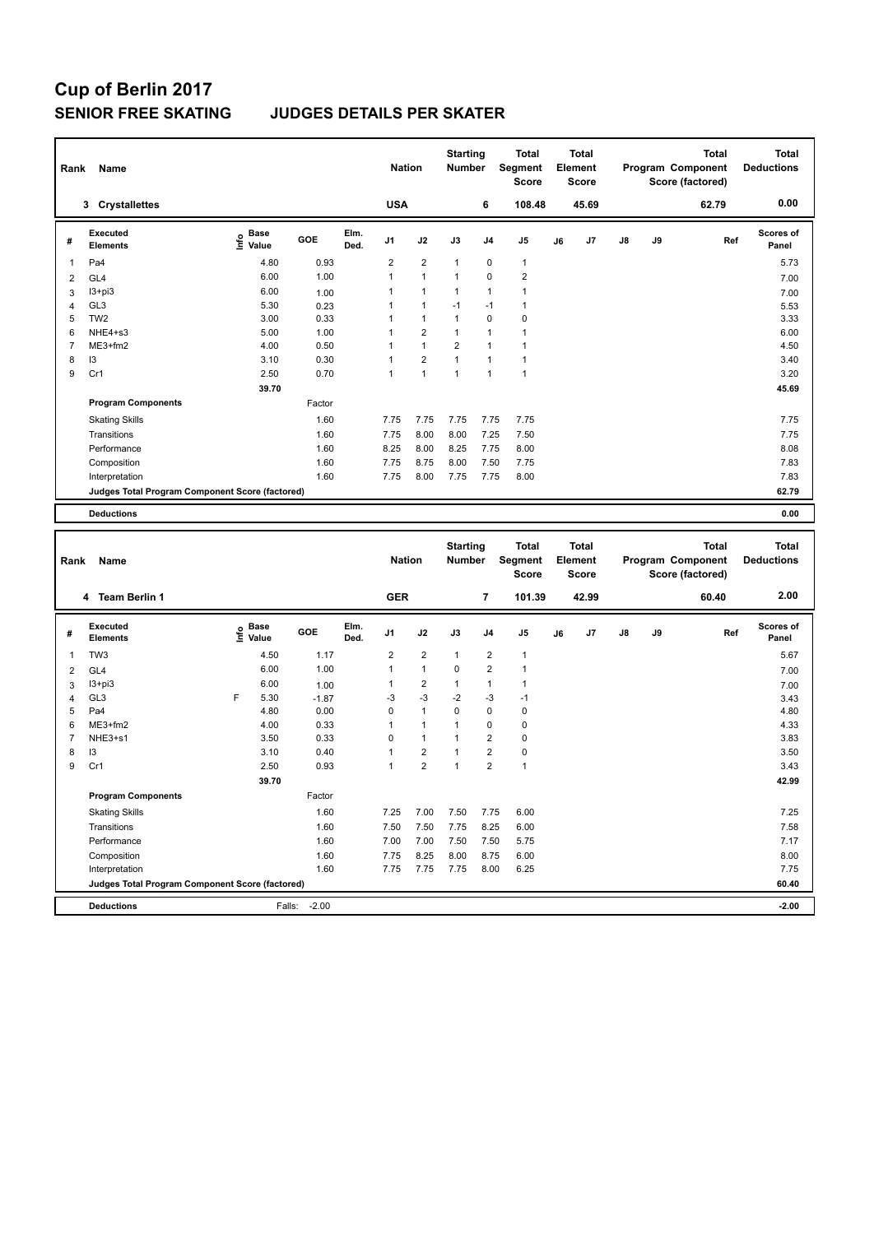### **SENIOR FREE SKATING JUDGES DETAILS PER SKATER**

| Rank           | Name                                            |                       |        |              | <b>Nation</b>  |                      | <b>Starting</b><br><b>Number</b> |                | <b>Total</b><br>Segment<br><b>Score</b> |    | Total<br>Element<br><b>Score</b> |    |    | <b>Total</b><br>Program Component<br>Score (factored) | Total<br><b>Deductions</b> |
|----------------|-------------------------------------------------|-----------------------|--------|--------------|----------------|----------------------|----------------------------------|----------------|-----------------------------------------|----|----------------------------------|----|----|-------------------------------------------------------|----------------------------|
|                | 3 Crystallettes                                 |                       |        |              | <b>USA</b>     |                      |                                  | 6              | 108.48                                  |    | 45.69                            |    |    | 62.79                                                 | 0.00                       |
| #              | Executed<br><b>Elements</b>                     | Base<br>lnfo<br>Value | GOE    | Elm.<br>Ded. | J <sub>1</sub> | J2                   | J3                               | J <sub>4</sub> | J5                                      | J6 | J7                               | J8 | J9 | Ref                                                   | <b>Scores of</b><br>Panel  |
| 1              | Pa4                                             | 4.80                  | 0.93   |              | $\overline{2}$ | $\overline{2}$       | $\mathbf{1}$                     | $\mathbf 0$    | $\mathbf{1}$                            |    |                                  |    |    |                                                       | 5.73                       |
| $\overline{2}$ | GL <sub>4</sub>                                 | 6.00                  | 1.00   |              | 1              | $\overline{1}$       | $\mathbf{1}$                     | $\mathbf 0$    | $\overline{2}$                          |    |                                  |    |    |                                                       | 7.00                       |
| 3              | $13 + pi3$                                      | 6.00                  | 1.00   |              |                | $\blacktriangleleft$ | $\mathbf{1}$                     | $\mathbf{1}$   | 1                                       |    |                                  |    |    |                                                       | 7.00                       |
| $\overline{4}$ | GL <sub>3</sub>                                 | 5.30                  | 0.23   |              |                | $\mathbf{1}$         | $-1$                             | $-1$           | 1                                       |    |                                  |    |    |                                                       | 5.53                       |
| 5              | TW <sub>2</sub>                                 | 3.00                  | 0.33   |              |                | $\mathbf{1}$         | $\mathbf{1}$                     | $\mathbf 0$    | 0                                       |    |                                  |    |    |                                                       | 3.33                       |
| 6              | NHE4+s3                                         | 5.00                  | 1.00   |              |                | $\overline{2}$       | $\mathbf{1}$                     | $\mathbf{1}$   | 1                                       |    |                                  |    |    |                                                       | 6.00                       |
| 7              | ME3+fm2                                         | 4.00                  | 0.50   |              |                | $\overline{1}$       | $\overline{2}$                   | $\overline{1}$ |                                         |    |                                  |    |    |                                                       | 4.50                       |
| 8              | 13                                              | 3.10                  | 0.30   |              |                | $\overline{2}$       | $\overline{1}$                   | $\mathbf{1}$   | 1                                       |    |                                  |    |    |                                                       | 3.40                       |
| 9              | Cr1                                             | 2.50                  | 0.70   |              | 1              | $\mathbf{1}$         | $\mathbf{1}$                     | 1              | $\mathbf{1}$                            |    |                                  |    |    |                                                       | 3.20                       |
|                |                                                 | 39.70                 |        |              |                |                      |                                  |                |                                         |    |                                  |    |    |                                                       | 45.69                      |
|                | <b>Program Components</b>                       |                       | Factor |              |                |                      |                                  |                |                                         |    |                                  |    |    |                                                       |                            |
|                | <b>Skating Skills</b>                           |                       | 1.60   |              | 7.75           | 7.75                 | 7.75                             | 7.75           | 7.75                                    |    |                                  |    |    |                                                       | 7.75                       |
|                | Transitions                                     |                       | 1.60   |              | 7.75           | 8.00                 | 8.00                             | 7.25           | 7.50                                    |    |                                  |    |    |                                                       | 7.75                       |
|                | Performance                                     |                       | 1.60   |              | 8.25           | 8.00                 | 8.25                             | 7.75           | 8.00                                    |    |                                  |    |    |                                                       | 8.08                       |
|                | Composition                                     |                       | 1.60   |              | 7.75           | 8.75                 | 8.00                             | 7.50           | 7.75                                    |    |                                  |    |    |                                                       | 7.83                       |
|                | Interpretation                                  |                       | 1.60   |              | 7.75           | 8.00                 | 7.75                             | 7.75           | 8.00                                    |    |                                  |    |    |                                                       | 7.83                       |
|                | Judges Total Program Component Score (factored) |                       |        |              |                |                      |                                  |                |                                         |    |                                  |    |    |                                                       | 62.79                      |
|                | <b>Deductions</b>                               |                       |        |              |                |                      |                                  |                |                                         |    |                                  |    |    |                                                       | 0.00                       |
|                |                                                 |                       |        |              |                |                      |                                  |                |                                         |    |                                  |    |    |                                                       |                            |

| Rank           | Name                                            |      |                      |         |              | <b>Nation</b>  |                | <b>Starting</b><br><b>Number</b> |                | <b>Total</b><br>Segment<br><b>Score</b> |    | <b>Total</b><br>Element<br>Score |               |    | <b>Total</b><br>Program Component<br>Score (factored) | <b>Total</b><br><b>Deductions</b> |
|----------------|-------------------------------------------------|------|----------------------|---------|--------------|----------------|----------------|----------------------------------|----------------|-----------------------------------------|----|----------------------------------|---------------|----|-------------------------------------------------------|-----------------------------------|
|                | 4 Team Berlin 1                                 |      |                      |         |              | <b>GER</b>     |                |                                  | 7              | 101.39                                  |    | 42.99                            |               |    | 60.40                                                 | 2.00                              |
| #              | Executed<br><b>Elements</b>                     | Info | <b>Base</b><br>Value | GOE     | Elm.<br>Ded. | J <sub>1</sub> | J2             | J3                               | J <sub>4</sub> | J <sub>5</sub>                          | J6 | J7                               | $\mathsf{J}8$ | J9 | Ref                                                   | Scores of<br>Panel                |
| $\mathbf{1}$   | TW <sub>3</sub>                                 |      | 4.50                 | 1.17    |              | $\overline{2}$ | $\overline{2}$ | $\mathbf{1}$                     | $\overline{2}$ | $\mathbf{1}$                            |    |                                  |               |    |                                                       | 5.67                              |
| 2              | GL <sub>4</sub>                                 |      | 6.00                 | 1.00    |              | 1              | $\mathbf{1}$   | $\mathbf 0$                      | $\overline{2}$ | $\mathbf{1}$                            |    |                                  |               |    |                                                       | 7.00                              |
| 3              | $13 + pi3$                                      |      | 6.00                 | 1.00    |              | 1              | $\overline{2}$ | $\mathbf{1}$                     | $\mathbf{1}$   | $\overline{1}$                          |    |                                  |               |    |                                                       | 7.00                              |
| 4              | GL <sub>3</sub>                                 | F    | 5.30                 | $-1.87$ |              | -3             | $-3$           | $-2$                             | $-3$           | $-1$                                    |    |                                  |               |    |                                                       | 3.43                              |
| 5              | Pa4                                             |      | 4.80                 | 0.00    |              | $\Omega$       | $\mathbf{1}$   | $\Omega$                         | $\mathbf 0$    | $\pmb{0}$                               |    |                                  |               |    |                                                       | 4.80                              |
| 6              | ME3+fm2                                         |      | 4.00                 | 0.33    |              | 1              | $\mathbf{1}$   |                                  | $\mathbf 0$    | $\pmb{0}$                               |    |                                  |               |    |                                                       | 4.33                              |
| $\overline{7}$ | NHE3+s1                                         |      | 3.50                 | 0.33    |              | $\Omega$       | $\mathbf{1}$   |                                  | $\overline{2}$ | 0                                       |    |                                  |               |    |                                                       | 3.83                              |
| 8              | 13                                              |      | 3.10                 | 0.40    |              |                | $\overline{2}$ |                                  | $\overline{2}$ | $\pmb{0}$                               |    |                                  |               |    |                                                       | 3.50                              |
| 9              | Cr1                                             |      | 2.50                 | 0.93    |              | 1              | $\overline{2}$ | 1                                | $\overline{2}$ | $\mathbf{1}$                            |    |                                  |               |    |                                                       | 3.43                              |
|                |                                                 |      | 39.70                |         |              |                |                |                                  |                |                                         |    |                                  |               |    |                                                       | 42.99                             |
|                | <b>Program Components</b>                       |      |                      | Factor  |              |                |                |                                  |                |                                         |    |                                  |               |    |                                                       |                                   |
|                | <b>Skating Skills</b>                           |      |                      | 1.60    |              | 7.25           | 7.00           | 7.50                             | 7.75           | 6.00                                    |    |                                  |               |    |                                                       | 7.25                              |
|                | Transitions                                     |      |                      | 1.60    |              | 7.50           | 7.50           | 7.75                             | 8.25           | 6.00                                    |    |                                  |               |    |                                                       | 7.58                              |
|                | Performance                                     |      |                      | 1.60    |              | 7.00           | 7.00           | 7.50                             | 7.50           | 5.75                                    |    |                                  |               |    |                                                       | 7.17                              |
|                | Composition                                     |      |                      | 1.60    |              | 7.75           | 8.25           | 8.00                             | 8.75           | 6.00                                    |    |                                  |               |    |                                                       | 8.00                              |
|                | Interpretation                                  |      |                      | 1.60    |              | 7.75           | 7.75           | 7.75                             | 8.00           | 6.25                                    |    |                                  |               |    |                                                       | 7.75                              |
|                | Judges Total Program Component Score (factored) |      |                      |         |              |                |                |                                  |                |                                         |    |                                  |               |    |                                                       | 60.40                             |
|                | <b>Deductions</b>                               |      | Falls:               | $-2.00$ |              |                |                |                                  |                |                                         |    |                                  |               |    |                                                       | $-2.00$                           |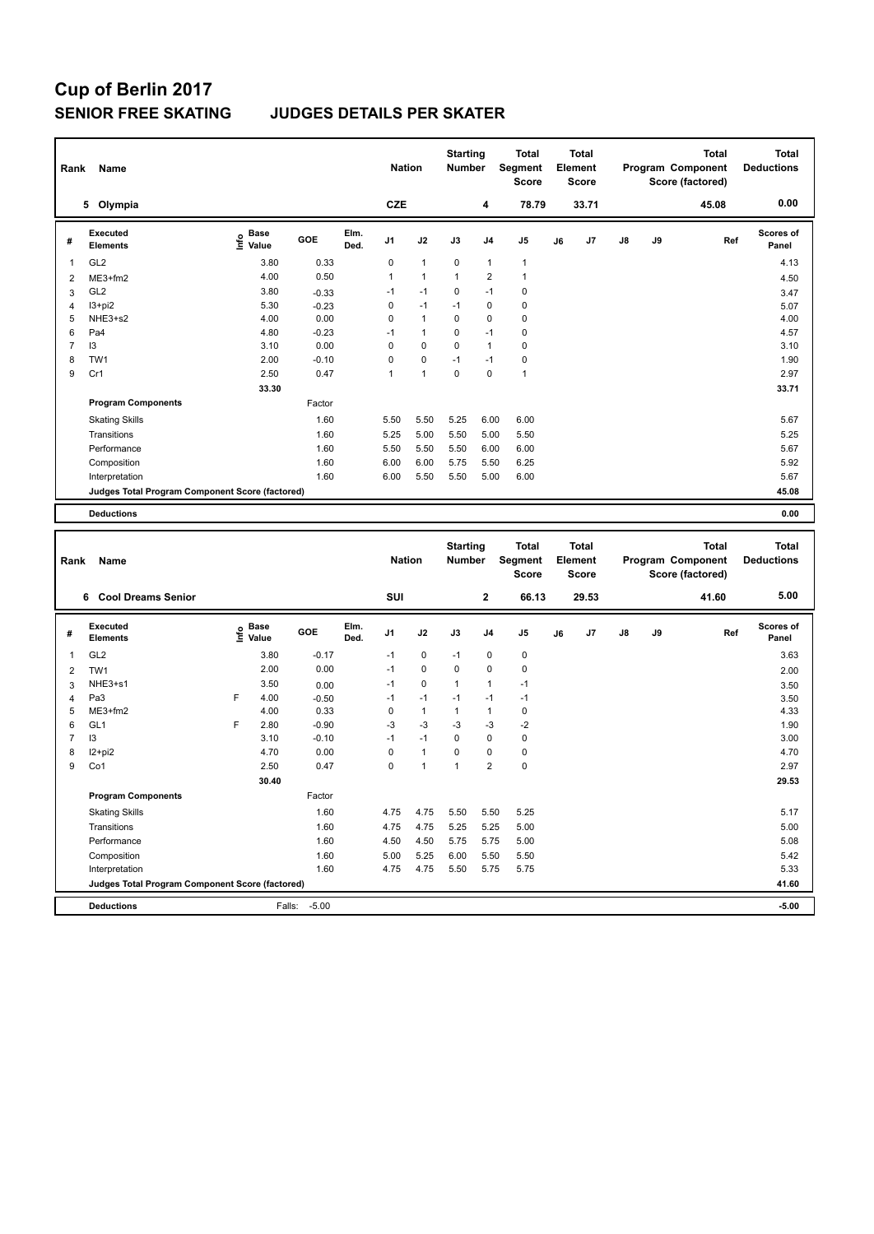### **SENIOR FREE SKATING JUDGES DETAILS PER SKATER**

| Rank           | Name                                            |                                  |            |              |                | <b>Nation</b>  |              | <b>Starting</b><br><b>Number</b> | <b>Total</b><br>Segment<br><b>Score</b> | <b>Total</b><br>Element<br><b>Score</b> |       |               |    | <b>Total</b><br>Program Component<br>Score (factored) | <b>Total</b><br><b>Deductions</b> |
|----------------|-------------------------------------------------|----------------------------------|------------|--------------|----------------|----------------|--------------|----------------------------------|-----------------------------------------|-----------------------------------------|-------|---------------|----|-------------------------------------------------------|-----------------------------------|
|                | 5 Olympia                                       |                                  |            |              | <b>CZE</b>     |                |              | 4                                | 78.79                                   |                                         | 33.71 |               |    | 45.08                                                 | 0.00                              |
| #              | <b>Executed</b><br><b>Elements</b>              | <b>Base</b><br>e Base<br>⊆ Value | <b>GOE</b> | Elm.<br>Ded. | J <sub>1</sub> | J2             | J3           | J <sub>4</sub>                   | J <sub>5</sub>                          | J6                                      | J7    | $\mathsf{J}8$ | J9 | Ref                                                   | Scores of<br>Panel                |
| 1              | GL <sub>2</sub>                                 | 3.80                             | 0.33       |              | 0              | $\mathbf{1}$   | 0            | 1                                | 1                                       |                                         |       |               |    |                                                       | 4.13                              |
| $\overline{2}$ | ME3+fm2                                         | 4.00                             | 0.50       |              | 1              | $\overline{1}$ | $\mathbf{1}$ | $\overline{2}$                   | 1                                       |                                         |       |               |    |                                                       | 4.50                              |
| 3              | GL <sub>2</sub>                                 | 3.80                             | $-0.33$    |              | $-1$           | $-1$           | 0            | $-1$                             | $\mathbf 0$                             |                                         |       |               |    |                                                       | 3.47                              |
| $\overline{4}$ | $13 + pi2$                                      | 5.30                             | $-0.23$    |              | 0              | $-1$           | $-1$         | $\Omega$                         | 0                                       |                                         |       |               |    |                                                       | 5.07                              |
| 5              | NHE3+s2                                         | 4.00                             | 0.00       |              | $\Omega$       | $\mathbf{1}$   | 0            | $\Omega$                         | $\mathbf 0$                             |                                         |       |               |    |                                                       | 4.00                              |
| 6              | Pa4                                             | 4.80                             | $-0.23$    |              | $-1$           | $\mathbf{1}$   | $\Omega$     | $-1$                             | 0                                       |                                         |       |               |    |                                                       | 4.57                              |
| 7              | 13                                              | 3.10                             | 0.00       |              | 0              | 0              | 0            | $\mathbf{1}$                     | $\mathbf 0$                             |                                         |       |               |    |                                                       | 3.10                              |
| 8              | TW1                                             | 2.00                             | $-0.10$    |              | $\Omega$       | 0              | $-1$         | $-1$                             | $\pmb{0}$                               |                                         |       |               |    |                                                       | 1.90                              |
| 9              | Cr1                                             | 2.50                             | 0.47       |              | 1              | $\mathbf{1}$   | 0            | 0                                | $\mathbf{1}$                            |                                         |       |               |    |                                                       | 2.97                              |
|                |                                                 | 33.30                            |            |              |                |                |              |                                  |                                         |                                         |       |               |    |                                                       | 33.71                             |
|                | <b>Program Components</b>                       |                                  | Factor     |              |                |                |              |                                  |                                         |                                         |       |               |    |                                                       |                                   |
|                | <b>Skating Skills</b>                           |                                  | 1.60       |              | 5.50           | 5.50           | 5.25         | 6.00                             | 6.00                                    |                                         |       |               |    |                                                       | 5.67                              |
|                | Transitions                                     |                                  | 1.60       |              | 5.25           | 5.00           | 5.50         | 5.00                             | 5.50                                    |                                         |       |               |    |                                                       | 5.25                              |
|                | Performance                                     |                                  | 1.60       |              | 5.50           | 5.50           | 5.50         | 6.00                             | 6.00                                    |                                         |       |               |    |                                                       | 5.67                              |
|                | Composition                                     |                                  | 1.60       |              | 6.00           | 6.00           | 5.75         | 5.50                             | 6.25                                    |                                         |       |               |    |                                                       | 5.92                              |
|                | Interpretation                                  |                                  | 1.60       |              | 6.00           | 5.50           | 5.50         | 5.00                             | 6.00                                    |                                         |       |               |    |                                                       | 5.67                              |
|                | Judges Total Program Component Score (factored) |                                  |            |              |                |                |              |                                  |                                         |                                         |       |               |    |                                                       | 45.08                             |
|                | <b>Deductions</b>                               |                                  |            |              |                |                |              |                                  |                                         |                                         |       |               |    |                                                       | 0.00                              |

| Rank           | Name                                            |      |                      |         |              | <b>Nation</b>  |              | <b>Starting</b><br><b>Number</b> |                | <b>Total</b><br>Segment<br>Score |    | <b>Total</b><br>Element<br><b>Score</b> |               |    | <b>Total</b><br>Program Component<br>Score (factored) | <b>Total</b><br><b>Deductions</b> |
|----------------|-------------------------------------------------|------|----------------------|---------|--------------|----------------|--------------|----------------------------------|----------------|----------------------------------|----|-----------------------------------------|---------------|----|-------------------------------------------------------|-----------------------------------|
|                | 6 Cool Dreams Senior                            |      |                      |         |              | <b>SUI</b>     |              |                                  | $\mathbf{2}$   | 66.13                            |    | 29.53                                   |               |    | 41.60                                                 | 5.00                              |
| #              | Executed<br><b>Elements</b>                     | Info | <b>Base</b><br>Value | GOE     | Elm.<br>Ded. | J <sub>1</sub> | J2           | J3                               | J <sub>4</sub> | J <sub>5</sub>                   | J6 | J7                                      | $\mathsf{J}8$ | J9 | Ref                                                   | <b>Scores of</b><br>Panel         |
| $\overline{1}$ | GL <sub>2</sub>                                 |      | 3.80                 | $-0.17$ |              | $-1$           | $\mathbf 0$  | $-1$                             | $\mathbf 0$    | $\pmb{0}$                        |    |                                         |               |    |                                                       | 3.63                              |
| 2              | TW1                                             |      | 2.00                 | 0.00    |              | $-1$           | $\mathbf 0$  | $\mathbf 0$                      | $\mathbf 0$    | $\pmb{0}$                        |    |                                         |               |    |                                                       | 2.00                              |
| 3              | NHE3+s1                                         |      | 3.50                 | 0.00    |              | $-1$           | $\mathbf 0$  | 1                                | $\overline{1}$ | $-1$                             |    |                                         |               |    |                                                       | 3.50                              |
| $\overline{4}$ | Pa <sub>3</sub>                                 | F    | 4.00                 | $-0.50$ |              | $-1$           | $-1$         | $-1$                             | $-1$           | $-1$                             |    |                                         |               |    |                                                       | 3.50                              |
| 5              | ME3+fm2                                         |      | 4.00                 | 0.33    |              | 0              | $\mathbf{1}$ | $\mathbf{1}$                     | $\overline{1}$ | 0                                |    |                                         |               |    |                                                       | 4.33                              |
| 6              | GL <sub>1</sub>                                 | F    | 2.80                 | $-0.90$ |              | $-3$           | $-3$         | $-3$                             | $-3$           | $-2$                             |    |                                         |               |    |                                                       | 1.90                              |
| 7              | 13                                              |      | 3.10                 | $-0.10$ |              | $-1$           | $-1$         | $\Omega$                         | 0              | 0                                |    |                                         |               |    |                                                       | 3.00                              |
| 8              | I2+pi2                                          |      | 4.70                 | 0.00    |              | 0              | $\mathbf{1}$ | 0                                | $\mathbf 0$    | $\pmb{0}$                        |    |                                         |               |    |                                                       | 4.70                              |
| 9              | Co1                                             |      | 2.50                 | 0.47    |              | 0              | $\mathbf{1}$ | $\overline{1}$                   | $\overline{2}$ | $\mathbf 0$                      |    |                                         |               |    |                                                       | 2.97                              |
|                |                                                 |      | 30.40                |         |              |                |              |                                  |                |                                  |    |                                         |               |    |                                                       | 29.53                             |
|                | <b>Program Components</b>                       |      |                      | Factor  |              |                |              |                                  |                |                                  |    |                                         |               |    |                                                       |                                   |
|                | <b>Skating Skills</b>                           |      |                      | 1.60    |              | 4.75           | 4.75         | 5.50                             | 5.50           | 5.25                             |    |                                         |               |    |                                                       | 5.17                              |
|                | Transitions                                     |      |                      | 1.60    |              | 4.75           | 4.75         | 5.25                             | 5.25           | 5.00                             |    |                                         |               |    |                                                       | 5.00                              |
|                | Performance                                     |      |                      | 1.60    |              | 4.50           | 4.50         | 5.75                             | 5.75           | 5.00                             |    |                                         |               |    |                                                       | 5.08                              |
|                | Composition                                     |      |                      | 1.60    |              | 5.00           | 5.25         | 6.00                             | 5.50           | 5.50                             |    |                                         |               |    |                                                       | 5.42                              |
|                | Interpretation                                  |      |                      | 1.60    |              | 4.75           | 4.75         | 5.50                             | 5.75           | 5.75                             |    |                                         |               |    |                                                       | 5.33                              |
|                | Judges Total Program Component Score (factored) |      |                      |         |              |                |              |                                  |                |                                  |    |                                         |               |    |                                                       | 41.60                             |
|                | <b>Deductions</b>                               |      | Falls:               | $-5.00$ |              |                |              |                                  |                |                                  |    |                                         |               |    |                                                       | $-5.00$                           |

٦